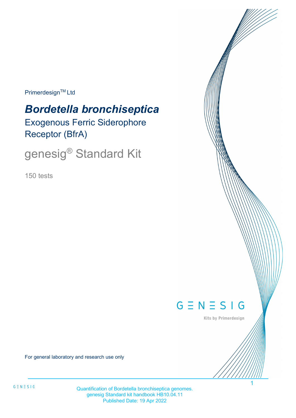Primerdesign™ Ltd

# *Bordetella bronchiseptica* Exogenous Ferric Siderophore Receptor (BfrA)

genesig® Standard Kit

150 tests



Kits by Primerdesign

1

For general laboratory and research use only

Quantification of Bordetella bronchiseptica genomes. genesig Standard kit handbook HB10.04.11 Published Date: 19 Apr 2022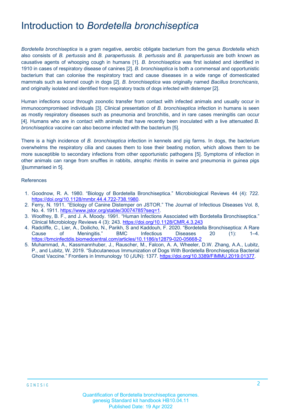### Introduction to *Bordetella bronchiseptica*

*Bordetella bronchiseptica* is a gram negative, aerobic obligate bacterium from the genus *Bordetella* which also consists of *B. pertussis* and *B. parapertussis*. *B. pertussis* and *B. parapertussis* are both known as causative agents of whooping cough in humans [1]. *B. bronchiseptica* was first isolated and identified in 1910 in cases of respiratory disease of canines [2]. *B. bronchiseptica* is both a commensal and opportunistic bacterium that can colonise the respiratory tract and cause diseases in a wide range of domesticated mammals such as kennel cough in dogs [2]. *B. bronchiseptica* was originally named *Bacillus bronchicanis*, and originally isolated and identified from respiratory tracts of dogs infected with distemper [2].

Human infections occur through zoonotic transfer from contact with infected animals and usually occur in immunocompromised individuals [3]. Clinical presentation of *B. bronchiseptica* infection in humans is seen as mostly respiratory diseases such as pneumonia and bronchitis, and in rare cases meningitis can occur [4]. Humans who are in contact with animals that have recently been inoculated with a live attenuated *B. bronchiseptica* vaccine can also become infected with the bacterium [5].

There is a high incidence of *B. bronchiseptica* infection in kennels and pig farms. In dogs, the bacterium overwhelms the respiratory cilia and causes them to lose their beating motion, which allows them to be more susceptible to secondary infections from other opportunistic pathogens [5]. Symptoms of infection in other animals can range from snuffles in rabbits, atrophic rhinitis in swine and pneumonia in guinea pigs )[summarised in 5].

#### References

- 1. Goodnow, R. A. 1980. "Biology of Bordetella Bronchiseptica." Microbiological Reviews 44 (4): 722. [https://doi.org/10.1128/mmbr.44.4.722-738.1980.](https://doi.org/10.1128/mmbr.44.4.722-738.1980)
- 2. Ferry, N. 1911. "Etiology of Canine Distemper on JSTOR." The Journal of Infectious Diseases Vol. 8, No. 4. 1911. [https://www.jstor.org/stable/30074785?seq=1.](https://www.jstor.org/stable/30074785?seq=1)
- 3. Woolfrey, B. F., and J. A. Moody. 1991. "Human Infections Associated with Bordetella Bronchiseptica." Clinical Microbiology Reviews 4 (3): 243[. https://doi.org/10.1128/CMR.4.3.243](https://doi.org/10.1128/CMR.4.3.243)
- 4. Radcliffe, C., Lier, A., Doilicho, N., Parikh, S and Kaddouh, F. 2020. "Bordetella Bronchiseptica: A Rare Cause of Meningitis." BMC Infectious Diseases 20 (1): 1–4. <https://bmcinfectdis.biomedcentral.com/articles/10.1186/s12879-020-05668-2>
- 5. Muhammad, A., Kassmannhuber, J., Rauscher, M., Falcon, A. A, Wheeler, D.W. Zhang, A.A., Lubitz, P., and Lubitz, W. 2019. "Subcutaneous Immunization of Dogs With Bordetella Bronchiseptica Bacterial Ghost Vaccine." Frontiers in Immunology 10 (JUN): 1377. [https://doi.org/10.3389/FIMMU.2019.01377.](https://doi.org/10.3389/FIMMU.2019.01377)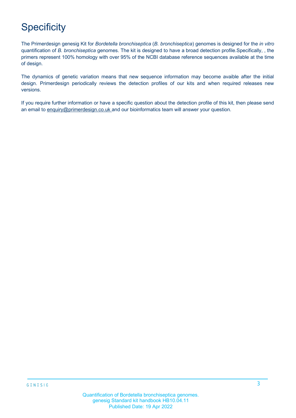# **Specificity**

The Primerdesign genesig Kit for *Bordetella bronchiseptica* (*B. bronchiseptica*) genomes is designed for the *in vitro* quantification of *B. bronchiseptica* genomes. The kit is designed to have a broad detection profile.Specifically, , the primers represent 100% homology with over 95% of the NCBI database reference sequences available at the time of design.

The dynamics of genetic variation means that new sequence information may become avaible after the initial design. Primerdesign periodically reviews the detection profiles of our kits and when required releases new versions.

If you require further information or have a specific question about the detection profile of this kit, then please send an email to [enquiry@primerdesign.co.uk a](mailto:enquiry@primerdesign.co.uk)nd our bioinformatics team will answer your question.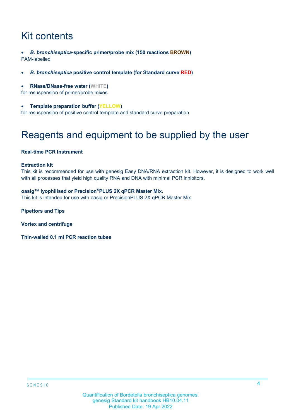# Kit contents

- *B. bronchiseptica***-specific primer/probe mix (150 reactions BROWN)** FAM-labelled
- *B. bronchiseptica* **positive control template (for Standard curve RED)**
- **RNase/DNase-free water (WHITE)**

for resuspension of primer/probe mixes

• **Template preparation buffer (YELLOW)**

for resuspension of positive control template and standard curve preparation

## Reagents and equipment to be supplied by the user

#### **Real-time PCR Instrument**

#### **Extraction kit**

This kit is recommended for use with genesig Easy DNA/RNA extraction kit. However, it is designed to work well with all processes that yield high quality RNA and DNA with minimal PCR inhibitors.

#### **oasig™ lyophilised or Precision®PLUS 2X qPCR Master Mix.**

This kit is intended for use with oasig or PrecisionPLUS 2X qPCR Master Mix.

**Pipettors and Tips** 

**Vortex and centrifuge**

**Thin-walled 0.1 ml PCR reaction tubes**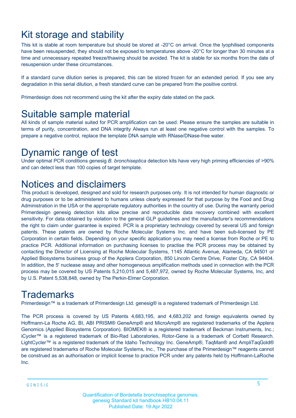# Kit storage and stability

This kit is stable at room temperature but should be stored at -20°C on arrival. Once the lyophilised components have been resuspended, they should not be exposed to temperatures above -20°C for longer than 30 minutes at a time and unnecessary repeated freeze/thawing should be avoided. The kit is stable for six months from the date of resuspension under these circumstances.

If a standard curve dilution series is prepared, this can be stored frozen for an extended period. If you see any degradation in this serial dilution, a fresh standard curve can be prepared from the positive control.

Primerdesign does not recommend using the kit after the expiry date stated on the pack.

### Suitable sample material

All kinds of sample material suited for PCR amplification can be used. Please ensure the samples are suitable in terms of purity, concentration, and DNA integrity Always run at least one negative control with the samples. To prepare a negative control, replace the template DNA sample with RNase/DNase-free water.

### Dynamic range of test

Under optimal PCR conditions genesig *B. bronchiseptica* detection kits have very high priming efficiencies of >90% and can detect less than 100 copies of target template.

### Notices and disclaimers

This product is developed, designed and sold for research purposes only. It is not intended for human diagnostic or drug purposes or to be administered to humans unless clearly expressed for that purpose by the Food and Drug Administration in the USA or the appropriate regulatory authorities in the country of use. During the warranty period Primerdesign genesig detection kits allow precise and reproducible data recovery combined with excellent sensitivity. For data obtained by violation to the general GLP guidelines and the manufacturer's recommendations the right to claim under guarantee is expired. PCR is a proprietary technology covered by several US and foreign patents. These patents are owned by Roche Molecular Systems Inc. and have been sub-licensed by PE Corporation in certain fields. Depending on your specific application you may need a license from Roche or PE to practice PCR. Additional information on purchasing licenses to practise the PCR process may be obtained by contacting the Director of Licensing at Roche Molecular Systems, 1145 Atlantic Avenue, Alameda, CA 94501 or Applied Biosystems business group of the Applera Corporation, 850 Lincoln Centre Drive, Foster City, CA 94404. In addition, the 5' nuclease assay and other homogeneous amplification methods used in connection with the PCR process may be covered by US Patents 5,210,015 and 5,487,972, owned by Roche Molecular Systems, Inc, and by U.S. Patent 5,538,848, owned by The Perkin-Elmer Corporation.

### **Trademarks**

Primerdesign™ is a trademark of Primerdesign Ltd. genesig® is a registered trademark of Primerdesign Ltd.

The PCR process is covered by US Patents 4,683,195, and 4,683,202 and foreign equivalents owned by Hoffmann-La Roche AG. BI, ABI PRISM® GeneAmp® and MicroAmp® are registered trademarks of the Applera Genomics (Applied Biosystems Corporation). BIOMEK® is a registered trademark of Beckman Instruments, Inc.; iCycler™ is a registered trademark of Bio-Rad Laboratories, Rotor-Gene is a trademark of Corbett Research. LightCycler™ is a registered trademark of the Idaho Technology Inc. GeneAmp®, TaqMan® and AmpliTaqGold® are registered trademarks of Roche Molecular Systems, Inc., The purchase of the Primerdesign™ reagents cannot be construed as an authorisation or implicit license to practice PCR under any patents held by Hoffmann-LaRoche Inc.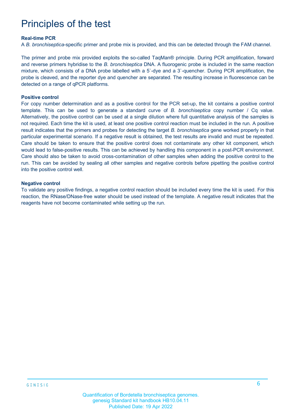# Principles of the test

#### **Real-time PCR**

A *B. bronchiseptica*-specific primer and probe mix is provided, and this can be detected through the FAM channel.

The primer and probe mix provided exploits the so-called TaqMan® principle. During PCR amplification, forward and reverse primers hybridise to the *B. bronchiseptica* DNA. A fluorogenic probe is included in the same reaction mixture, which consists of a DNA probe labelled with a 5`-dye and a 3`-quencher. During PCR amplification, the probe is cleaved, and the reporter dye and quencher are separated. The resulting increase in fluorescence can be detected on a range of qPCR platforms.

#### **Positive control**

For copy number determination and as a positive control for the PCR set-up, the kit contains a positive control template. This can be used to generate a standard curve of *B. bronchiseptica* copy number / Cq value. Alternatively, the positive control can be used at a single dilution where full quantitative analysis of the samples is not required. Each time the kit is used, at least one positive control reaction must be included in the run. A positive result indicates that the primers and probes for detecting the target *B. bronchiseptica* gene worked properly in that particular experimental scenario. If a negative result is obtained, the test results are invalid and must be repeated. Care should be taken to ensure that the positive control does not contaminate any other kit component, which would lead to false-positive results. This can be achieved by handling this component in a post-PCR environment. Care should also be taken to avoid cross-contamination of other samples when adding the positive control to the run. This can be avoided by sealing all other samples and negative controls before pipetting the positive control into the positive control well.

#### **Negative control**

To validate any positive findings, a negative control reaction should be included every time the kit is used. For this reaction, the RNase/DNase-free water should be used instead of the template. A negative result indicates that the reagents have not become contaminated while setting up the run.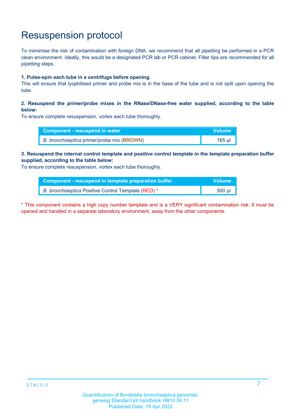# Resuspension protocol

To mimimise the risk of contamination with foreign DNA, we recommend that all pipetting be performed in a PCR clean environment. Ideally, this would be a designated PCR lab or PCR cabinet. Filter tips are recommended for all pipetting steps.

#### **1. Pulse-spin each tube in a centrifuge before opening.**

This will ensure that lyophilised primer and probe mix is in the base of the tube and is not spilt upon opening the tube.

### **2. Resuspend the primer/probe mixes in the RNase/DNase-free water supplied, according to the table below:**

To ensure complete resuspension, vortex each tube thoroughly.

| Component - resuspend in water             | <b>Volume</b> |
|--------------------------------------------|---------------|
| B. bronchiseptica primer/probe mix (BROWN) | 165 ul        |

#### **3. Resuspend the internal control template and positive control template in the template preparation buffer supplied, according to the table below:**

To ensure complete resuspension, vortex each tube thoroughly.

| Component - resuspend in template preparation buffer | <b>Volume</b> |
|------------------------------------------------------|---------------|
| B. bronchiseptica Positive Control Template (RED) *  | $500$ µl      |

\* This component contains a high copy number template and is a VERY significant contamination risk. It must be opened and handled in a separate laboratory environment, away from the other components.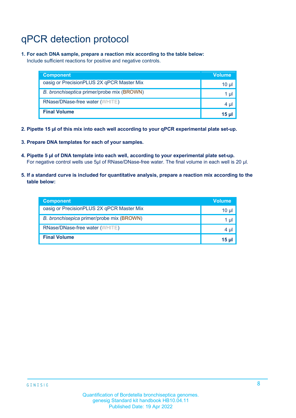# qPCR detection protocol

**1. For each DNA sample, prepare a reaction mix according to the table below:** Include sufficient reactions for positive and negative controls.

| <b>Component</b>                           | Volume |
|--------------------------------------------|--------|
| oasig or PrecisionPLUS 2X qPCR Master Mix  | 10 ul  |
| B. bronchiseptica primer/probe mix (BROWN) | 1 ul   |
| RNase/DNase-free water (WHITE)             | 4 µl   |
| <b>Final Volume</b>                        | 15 ul  |

- **2. Pipette 15 µl of this mix into each well according to your qPCR experimental plate set-up.**
- **3. Prepare DNA templates for each of your samples.**
- **4. Pipette 5 µl of DNA template into each well, according to your experimental plate set-up.** For negative control wells use 5µl of RNase/DNase-free water. The final volume in each well is 20 µl.
- **5. If a standard curve is included for quantitative analysis, prepare a reaction mix according to the table below:**

| <b>Component</b>                          | <b>Volume</b> |
|-------------------------------------------|---------------|
| oasig or PrecisionPLUS 2X qPCR Master Mix | 10 µl         |
| B. bronchisepica primer/probe mix (BROWN) | 1 µI          |
| RNase/DNase-free water (WHITE)            | 4 µI          |
| <b>Final Volume</b>                       | 15 ul         |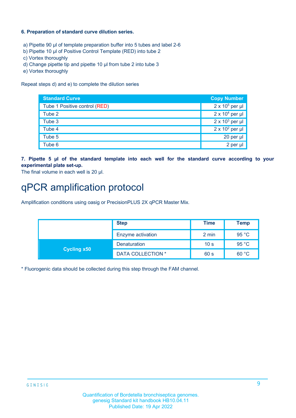### **6. Preparation of standard curve dilution series.**

- a) Pipette 90 µl of template preparation buffer into 5 tubes and label 2-6
- b) Pipette 10 µl of Positive Control Template (RED) into tube 2
- c) Vortex thoroughly
- d) Change pipette tip and pipette 10 µl from tube 2 into tube 3
- e) Vortex thoroughly

Repeat steps d) and e) to complete the dilution series

| <b>Standard Curve</b>         | <b>Copy Number</b>     |
|-------------------------------|------------------------|
| Tube 1 Positive control (RED) | $2 \times 10^5$ per µl |
| Tube 2                        | $2 \times 10^4$ per µl |
| Tube 3                        | $2 \times 10^3$ per µl |
| Tube 4                        | $2 \times 10^2$ per µl |
| Tube 5                        | 20 per µl              |
| Tube 6                        | 2 per µl               |

**7. Pipette 5 µl of the standard template into each well for the standard curve according to your experimental plate set-up.**

The final volume in each well is 20 µl.

## qPCR amplification protocol

Amplification conditions using oasig or PrecisionPLUS 2X qPCR Master Mix.

| <b>Step</b>        |                          | <b>Time</b>     | Temp  |
|--------------------|--------------------------|-----------------|-------|
|                    | Enzyme activation        | 2 min           | 95 °C |
| <b>Cycling x50</b> | Denaturation             | 10 <sub>s</sub> | 95 °C |
|                    | <b>DATA COLLECTION *</b> | 60 s            | 60 °C |

\* Fluorogenic data should be collected during this step through the FAM channel.